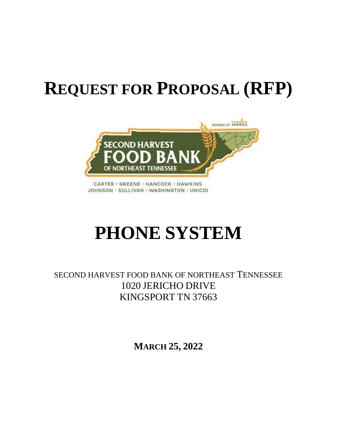# **REQUEST FOR PROPOSAL (RFP)**



**CARTER · GREENE · HANCOCK · HAWKINS** JOHNSON - SULLIVAN - WASHINGTON - UNICOI

# **PHONE SYSTEM**

SECOND HARVEST FOOD BANK OF NORTHEAST TENNESSEE 1020 JERICHO DRIVE KINGSPORT TN 37663

**MARCH 25, 2022**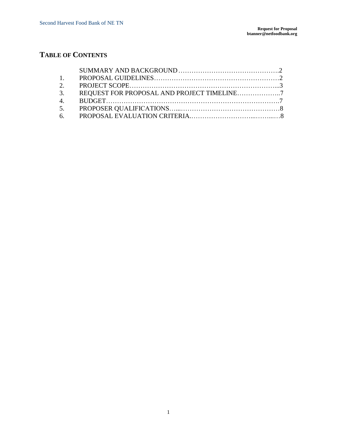# **TABLE OF CONTENTS**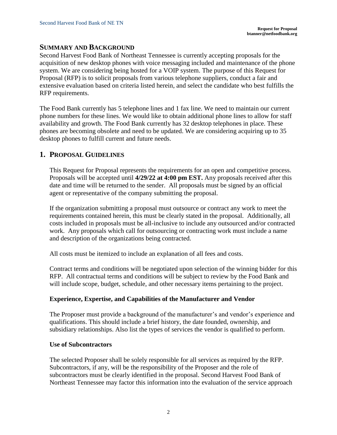#### **SUMMARY AND BACKGROUND**

Second Harvest Food Bank of Northeast Tennessee is currently accepting proposals for the acquisition of new desktop phones with voice messaging included and maintenance of the phone system. We are considering being hosted for a VOIP system. The purpose of this Request for Proposal (RFP) is to solicit proposals from various telephone suppliers, conduct a fair and extensive evaluation based on criteria listed herein, and select the candidate who best fulfills the RFP requirements.

The Food Bank currently has 5 telephone lines and 1 fax line. We need to maintain our current phone numbers for these lines. We would like to obtain additional phone lines to allow for staff availability and growth. The Food Bank currently has 32 desktop telephones in place. These phones are becoming obsolete and need to be updated. We are considering acquiring up to 35 desktop phones to fulfill current and future needs.

#### **1. PROPOSAL GUIDELINES**

This Request for Proposal represents the requirements for an open and competitive process. Proposals will be accepted until **4/29/22 at 4:00 pm EST.** Any proposals received after this date and time will be returned to the sender. All proposals must be signed by an official agent or representative of the company submitting the proposal.

If the organization submitting a proposal must outsource or contract any work to meet the requirements contained herein, this must be clearly stated in the proposal. Additionally, all costs included in proposals must be all-inclusive to include any outsourced and/or contracted work. Any proposals which call for outsourcing or contracting work must include a name and description of the organizations being contracted.

All costs must be itemized to include an explanation of all fees and costs.

Contract terms and conditions will be negotiated upon selection of the winning bidder for this RFP. All contractual terms and conditions will be subject to review by the Food Bank and will include scope, budget, schedule, and other necessary items pertaining to the project.

#### **Experience, Expertise, and Capabilities of the Manufacturer and Vendor**

The Proposer must provide a background of the manufacturer's and vendor's experience and qualifications. This should include a brief history, the date founded, ownership, and subsidiary relationships. Also list the types of services the vendor is qualified to perform.

#### **Use of Subcontractors**

The selected Proposer shall be solely responsible for all services as required by the RFP. Subcontractors, if any, will be the responsibility of the Proposer and the role of subcontractors must be clearly identified in the proposal. Second Harvest Food Bank of Northeast Tennessee may factor this information into the evaluation of the service approach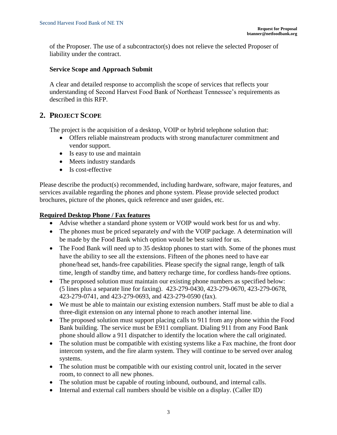of the Proposer. The use of a subcontractor(s) does not relieve the selected Proposer of liability under the contract.

#### **Service Scope and Approach Submit**

A clear and detailed response to accomplish the scope of services that reflects your understanding of Second Harvest Food Bank of Northeast Tennessee's requirements as described in this RFP.

## **2. PROJECT SCOPE**

The project is the acquisition of a desktop, VOIP or hybrid telephone solution that:

- Offers reliable mainstream products with strong manufacturer commitment and vendor support.
- Is easy to use and maintain
- Meets industry standards
- Is cost-effective

Please describe the product(s) recommended, including hardware, software, major features, and services available regarding the phones and phone system. Please provide selected product brochures, picture of the phones, quick reference and user guides, etc.

#### **Required Desktop Phone / Fax features**

- Advise whether a standard phone system or VOIP would work best for us and why.
- The phones must be priced separately *and* with the VOIP package. A determination will be made by the Food Bank which option would be best suited for us.
- The Food Bank will need up to 35 desktop phones to start with. Some of the phones must have the ability to see all the extensions. Fifteen of the phones need to have ear phone/head set, hands-free capabilities. Please specify the signal range, length of talk time, length of standby time, and battery recharge time, for cordless hands-free options.
- The proposed solution must maintain our existing phone numbers as specified below: (5 lines plus a separate line for faxing). 423-279-0430, 423-279-0670, 423-279-0678, 423-279-0741, and 423-279-0693, and 423-279-0590 (fax).
- We must be able to maintain our existing extension numbers. Staff must be able to dial a three-digit extension on any internal phone to reach another internal line.
- The proposed solution must support placing calls to 911 from any phone within the Food Bank building. The service must be E911 compliant. Dialing 911 from any Food Bank phone should allow a 911 dispatcher to identify the location where the call originated.
- The solution must be compatible with existing systems like a Fax machine, the front door intercom system, and the fire alarm system. They will continue to be served over analog systems.
- The solution must be compatible with our existing control unit, located in the server room, to connect to all new phones.
- The solution must be capable of routing inbound, outbound, and internal calls.
- Internal and external call numbers should be visible on a display. (Caller ID)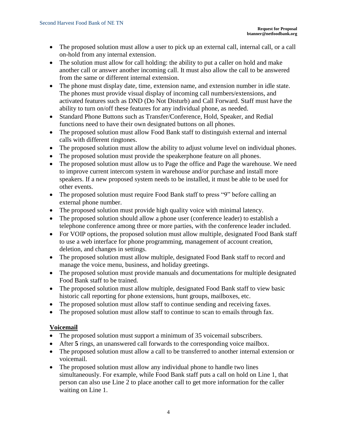- The proposed solution must allow a user to pick up an external call, internal call, or a call on-hold from any internal extension.
- The solution must allow for call holding: the ability to put a caller on hold and make another call or answer another incoming call. It must also allow the call to be answered from the same or different internal extension.
- The phone must display date, time, extension name, and extension number in idle state. The phones must provide visual display of incoming call numbers/extensions, and activated features such as DND (Do Not Disturb) and Call Forward. Staff must have the ability to turn on/off these features for any individual phone, as needed.
- Standard Phone Buttons such as Transfer/Conference, Hold, Speaker, and Redial functions need to have their own designated buttons on all phones.
- The proposed solution must allow Food Bank staff to distinguish external and internal calls with different ringtones.
- The proposed solution must allow the ability to adjust volume level on individual phones.
- The proposed solution must provide the speakerphone feature on all phones.
- The proposed solution must allow us to Page the office and Page the warehouse. We need to improve current intercom system in warehouse and/or purchase and install more speakers. If a new proposed system needs to be installed, it must be able to be used for other events.
- The proposed solution must require Food Bank staff to press "9" before calling an external phone number.
- The proposed solution must provide high quality voice with minimal latency.
- The proposed solution should allow a phone user (conference leader) to establish a telephone conference among three or more parties, with the conference leader included.
- For VOIP options, the proposed solution must allow multiple, designated Food Bank staff to use a web interface for phone programming, management of account creation, deletion, and changes in settings.
- The proposed solution must allow multiple, designated Food Bank staff to record and manage the voice menu, business, and holiday greetings.
- The proposed solution must provide manuals and documentations for multiple designated Food Bank staff to be trained.
- The proposed solution must allow multiple, designated Food Bank staff to view basic historic call reporting for phone extensions, hunt groups, mailboxes, etc.
- The proposed solution must allow staff to continue sending and receiving faxes.
- The proposed solution must allow staff to continue to scan to emails through fax.

## **Voicemail**

- The proposed solution must support a minimum of 35 voicemail subscribers.
- After 5 rings, an unanswered call forwards to the corresponding voice mailbox.
- The proposed solution must allow a call to be transferred to another internal extension or voicemail.
- The proposed solution must allow any individual phone to handle two lines simultaneously. For example, while Food Bank staff puts a call on hold on Line 1, that person can also use Line 2 to place another call to get more information for the caller waiting on Line 1.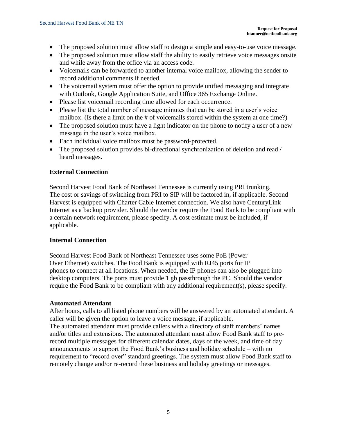- The proposed solution must allow staff to design a simple and easy-to-use voice message.
- The proposed solution must allow staff the ability to easily retrieve voice messages onsite and while away from the office via an access code.
- Voicemails can be forwarded to another internal voice mailbox, allowing the sender to record additional comments if needed.
- The voicemail system must offer the option to provide unified messaging and integrate with Outlook, Google Application Suite, and Office 365 Exchange Online.
- Please list voicemail recording time allowed for each occurrence.
- Please list the total number of message minutes that can be stored in a user's voice mailbox. (Is there a limit on the # of voicemails stored within the system at one time?)
- The proposed solution must have a light indicator on the phone to notify a user of a new message in the user's voice mailbox.
- Each individual voice mailbox must be password-protected.
- The proposed solution provides bi-directional synchronization of deletion and read / heard messages.

#### **External Connection**

Second Harvest Food Bank of Northeast Tennessee is currently using PRI trunking. The cost or savings of switching from PRI to SIP will be factored in, if applicable. Second Harvest is equipped with Charter Cable Internet connection. We also have CenturyLink Internet as a backup provider. Should the vendor require the Food Bank to be compliant with a certain network requirement, please specify. A cost estimate must be included, if applicable.

#### **Internal Connection**

Second Harvest Food Bank of Northeast Tennessee uses some PoE (Power Over Ethernet) switches. The Food Bank is equipped with RJ45 ports for IP phones to connect at all locations. When needed, the IP phones can also be plugged into desktop computers. The ports must provide 1 gb passthrough the PC. Should the vendor require the Food Bank to be compliant with any additional requirement(s), please specify.

#### **Automated Attendant**

After hours, calls to all listed phone numbers will be answered by an automated attendant. A caller will be given the option to leave a voice message, if applicable. The automated attendant must provide callers with a directory of staff members' names and/or titles and extensions. The automated attendant must allow Food Bank staff to prerecord multiple messages for different calendar dates, days of the week, and time of day announcements to support the Food Bank's business and holiday schedule – with no requirement to "record over" standard greetings. The system must allow Food Bank staff to remotely change and/or re-record these business and holiday greetings or messages.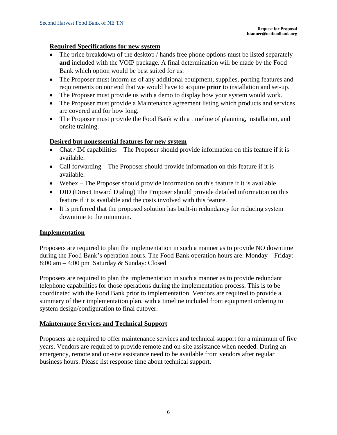#### **Required Specifications for new system**

- The price breakdown of the desktop / hands free phone options must be listed separately **and** included with the VOIP package. A final determination will be made by the Food Bank which option would be best suited for us.
- The Proposer must inform us of any additional equipment, supplies, porting features and requirements on our end that we would have to acquire **prior** to installation and set-up.
- The Proposer must provide us with a demo to display how your system would work.
- The Proposer must provide a Maintenance agreement listing which products and services are covered and for how long.
- The Proposer must provide the Food Bank with a timeline of planning, installation, and onsite training.

#### **Desired but nonessential features for new system**

- Chat / IM capabilities The Proposer should provide information on this feature if it is available.
- Call forwarding The Proposer should provide information on this feature if it is available.
- Webex The Proposer should provide information on this feature if it is available.
- DID (Direct Inward Dialing) The Proposer should provide detailed information on this feature if it is available and the costs involved with this feature.
- It is preferred that the proposed solution has built-in redundancy for reducing system downtime to the minimum.

#### **Implementation**

Proposers are required to plan the implementation in such a manner as to provide NO downtime during the Food Bank's operation hours. The Food Bank operation hours are: Monday – Friday: 8:00 am – 4:00 pm Saturday & Sunday: Closed

Proposers are required to plan the implementation in such a manner as to provide redundant telephone capabilities for those operations during the implementation process. This is to be coordinated with the Food Bank prior to implementation. Vendors are required to provide a summary of their implementation plan, with a timeline included from equipment ordering to system design/configuration to final cutover.

#### **Maintenance Services and Technical Support**

Proposers are required to offer maintenance services and technical support for a minimum of five years. Vendors are required to provide remote and on-site assistance when needed. During an emergency, remote and on-site assistance need to be available from vendors after regular business hours. Please list response time about technical support.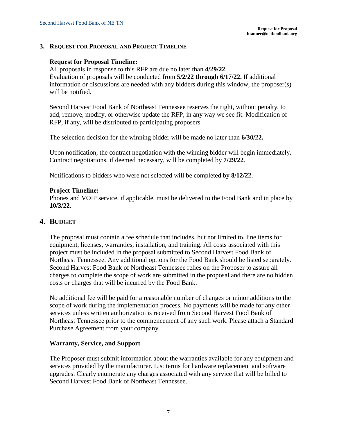#### **3. REQUEST FOR PROPOSAL AND PROJECT TIMELINE**

#### **Request for Proposal Timeline:**

All proposals in response to this RFP are due no later than **4/29/22**. Evaluation of proposals will be conducted from **5/2/22 through 6/17/22.** If additional information or discussions are needed with any bidders during this window, the proposer(s) will be notified.

Second Harvest Food Bank of Northeast Tennessee reserves the right, without penalty, to add, remove, modify, or otherwise update the RFP, in any way we see fit. Modification of RFP, if any, will be distributed to participating proposers.

The selection decision for the winning bidder will be made no later than **6/30/22.**

Upon notification, the contract negotiation with the winning bidder will begin immediately. Contract negotiations, if deemed necessary, will be completed by **7/29/22**.

Notifications to bidders who were not selected will be completed by **8/12/22**.

#### **Project Timeline:**

Phones and VOIP service, if applicable, must be delivered to the Food Bank and in place by **10/3/22**.

#### **4. BUDGET**

The proposal must contain a fee schedule that includes, but not limited to, line items for equipment, licenses, warranties, installation, and training. All costs associated with this project must be included in the proposal submitted to Second Harvest Food Bank of Northeast Tennessee. Any additional options for the Food Bank should be listed separately. Second Harvest Food Bank of Northeast Tennessee relies on the Proposer to assure all charges to complete the scope of work are submitted in the proposal and there are no hidden costs or charges that will be incurred by the Food Bank.

No additional fee will be paid for a reasonable number of changes or minor additions to the scope of work during the implementation process. No payments will be made for any other services unless written authorization is received from Second Harvest Food Bank of Northeast Tennessee prior to the commencement of any such work. Please attach a Standard Purchase Agreement from your company.

#### **Warranty, Service, and Support**

The Proposer must submit information about the warranties available for any equipment and services provided by the manufacturer. List terms for hardware replacement and software upgrades. Clearly enumerate any charges associated with any service that will be billed to Second Harvest Food Bank of Northeast Tennessee.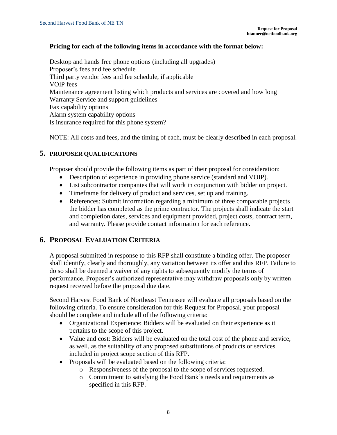#### **Pricing for each of the following items in accordance with the format below:**

Desktop and hands free phone options (including all upgrades) Proposer's fees and fee schedule Third party vendor fees and fee schedule, if applicable VOIP fees Maintenance agreement listing which products and services are covered and how long Warranty Service and support guidelines Fax capability options Alarm system capability options Is insurance required for this phone system?

NOTE: All costs and fees, and the timing of each, must be clearly described in each proposal.

#### **5. PROPOSER QUALIFICATIONS**

Proposer should provide the following items as part of their proposal for consideration:

- Description of experience in providing phone service (standard and VOIP).
- List subcontractor companies that will work in conjunction with bidder on project.
- Timeframe for delivery of product and services, set up and training.
- References: Submit information regarding a minimum of three comparable projects the bidder has completed as the prime contractor. The projects shall indicate the start and completion dates, services and equipment provided, project costs, contract term, and warranty. Please provide contact information for each reference.

## **6. PROPOSAL EVALUATION CRITERIA**

A proposal submitted in response to this RFP shall constitute a binding offer. The proposer shall identify, clearly and thoroughly, any variation between its offer and this RFP. Failure to do so shall be deemed a waiver of any rights to subsequently modify the terms of performance. Proposer's authorized representative may withdraw proposals only by written request received before the proposal due date.

Second Harvest Food Bank of Northeast Tennessee will evaluate all proposals based on the following criteria. To ensure consideration for this Request for Proposal, your proposal should be complete and include all of the following criteria:

- Organizational Experience: Bidders will be evaluated on their experience as it pertains to the scope of this project.
- Value and cost: Bidders will be evaluated on the total cost of the phone and service, as well, as the suitability of any proposed substitutions of products or services included in project scope section of this RFP.
- Proposals will be evaluated based on the following criteria:
	- o Responsiveness of the proposal to the scope of services requested.
	- o Commitment to satisfying the Food Bank's needs and requirements as specified in this RFP.